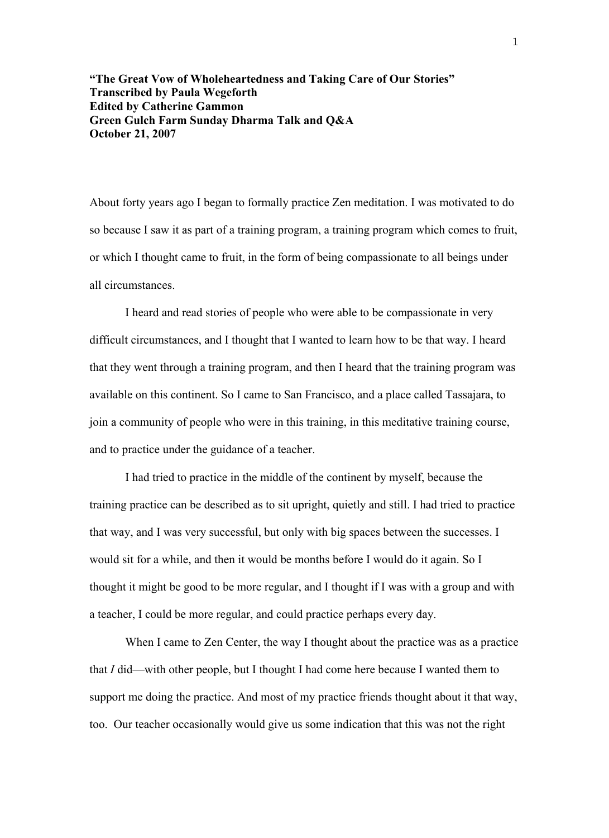**"The Great Vow of Wholeheartedness and Taking Care of Our Stories" Transcribed by Paula Wegeforth Edited by Catherine Gammon Green Gulch Farm Sunday Dharma Talk and Q&A October 21, 2007** 

About forty years ago I began to formally practice Zen meditation. I was motivated to do so because I saw it as part of a training program, a training program which comes to fruit, or which I thought came to fruit, in the form of being compassionate to all beings under all circumstances.

I heard and read stories of people who were able to be compassionate in very difficult circumstances, and I thought that I wanted to learn how to be that way. I heard that they went through a training program, and then I heard that the training program was available on this continent. So I came to San Francisco, and a place called Tassajara, to join a community of people who were in this training, in this meditative training course, and to practice under the guidance of a teacher.

I had tried to practice in the middle of the continent by myself, because the training practice can be described as to sit upright, quietly and still. I had tried to practice that way, and I was very successful, but only with big spaces between the successes. I would sit for a while, and then it would be months before I would do it again. So I thought it might be good to be more regular, and I thought if I was with a group and with a teacher, I could be more regular, and could practice perhaps every day.

When I came to Zen Center, the way I thought about the practice was as a practice that *I* did—with other people, but I thought I had come here because I wanted them to support me doing the practice. And most of my practice friends thought about it that way, too. Our teacher occasionally would give us some indication that this was not the right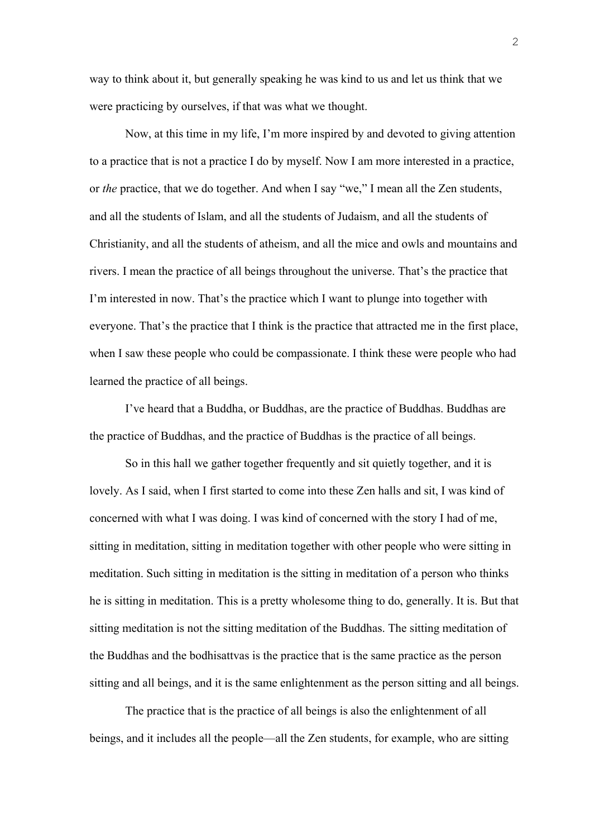way to think about it, but generally speaking he was kind to us and let us think that we were practicing by ourselves, if that was what we thought.

Now, at this time in my life, I'm more inspired by and devoted to giving attention to a practice that is not a practice I do by myself. Now I am more interested in a practice, or *the* practice, that we do together. And when I say "we," I mean all the Zen students, and all the students of Islam, and all the students of Judaism, and all the students of Christianity, and all the students of atheism, and all the mice and owls and mountains and rivers. I mean the practice of all beings throughout the universe. That's the practice that I'm interested in now. That's the practice which I want to plunge into together with everyone. That's the practice that I think is the practice that attracted me in the first place, when I saw these people who could be compassionate. I think these were people who had learned the practice of all beings.

I've heard that a Buddha, or Buddhas, are the practice of Buddhas. Buddhas are the practice of Buddhas, and the practice of Buddhas is the practice of all beings.

So in this hall we gather together frequently and sit quietly together, and it is lovely. As I said, when I first started to come into these Zen halls and sit, I was kind of concerned with what I was doing. I was kind of concerned with the story I had of me, sitting in meditation, sitting in meditation together with other people who were sitting in meditation. Such sitting in meditation is the sitting in meditation of a person who thinks he is sitting in meditation. This is a pretty wholesome thing to do, generally. It is. But that sitting meditation is not the sitting meditation of the Buddhas. The sitting meditation of the Buddhas and the bodhisattvas is the practice that is the same practice as the person sitting and all beings, and it is the same enlightenment as the person sitting and all beings.

The practice that is the practice of all beings is also the enlightenment of all beings, and it includes all the people—all the Zen students, for example, who are sitting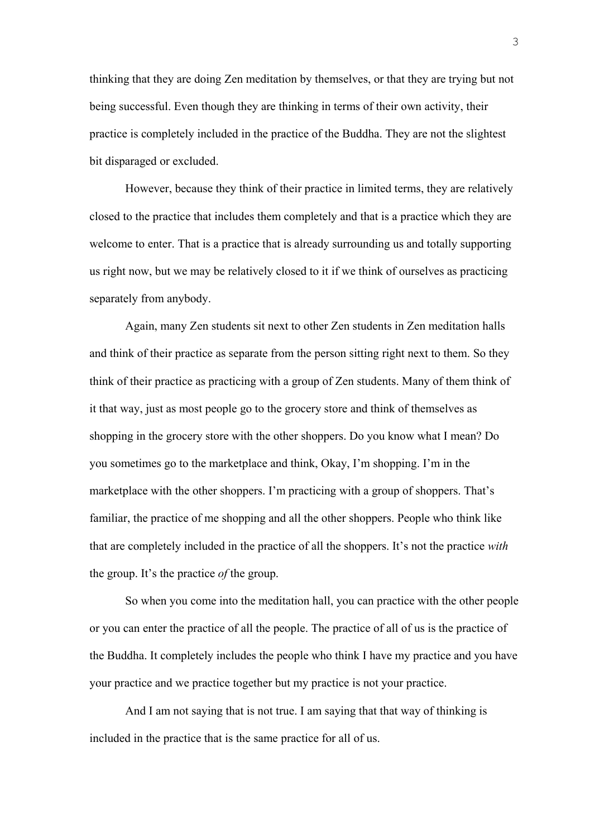thinking that they are doing Zen meditation by themselves, or that they are trying but not being successful. Even though they are thinking in terms of their own activity, their practice is completely included in the practice of the Buddha. They are not the slightest bit disparaged or excluded.

However, because they think of their practice in limited terms, they are relatively closed to the practice that includes them completely and that is a practice which they are welcome to enter. That is a practice that is already surrounding us and totally supporting us right now, but we may be relatively closed to it if we think of ourselves as practicing separately from anybody.

Again, many Zen students sit next to other Zen students in Zen meditation halls and think of their practice as separate from the person sitting right next to them. So they think of their practice as practicing with a group of Zen students. Many of them think of it that way, just as most people go to the grocery store and think of themselves as shopping in the grocery store with the other shoppers. Do you know what I mean? Do you sometimes go to the marketplace and think, Okay, I'm shopping. I'm in the marketplace with the other shoppers. I'm practicing with a group of shoppers. That's familiar, the practice of me shopping and all the other shoppers. People who think like that are completely included in the practice of all the shoppers. It's not the practice *with* the group. It's the practice *of* the group.

So when you come into the meditation hall, you can practice with the other people or you can enter the practice of all the people. The practice of all of us is the practice of the Buddha. It completely includes the people who think I have my practice and you have your practice and we practice together but my practice is not your practice.

And I am not saying that is not true. I am saying that that way of thinking is included in the practice that is the same practice for all of us.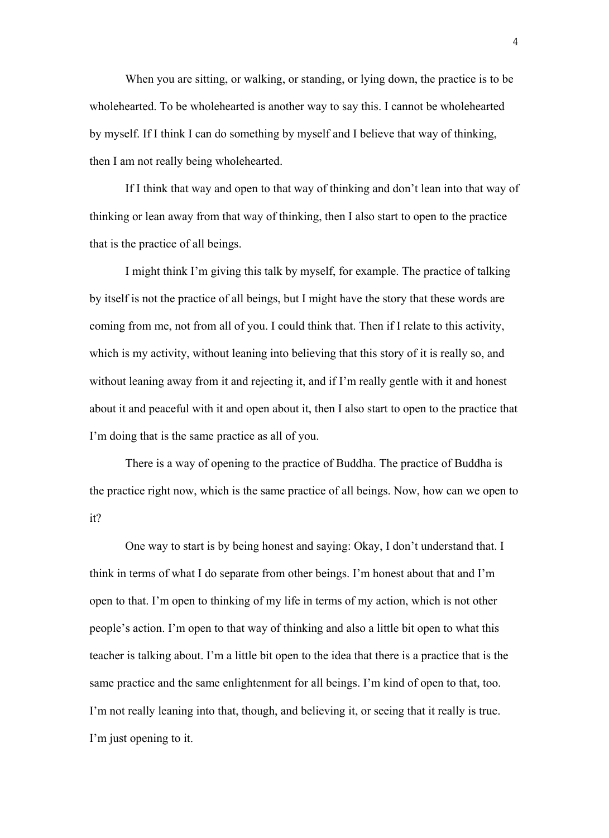When you are sitting, or walking, or standing, or lying down, the practice is to be wholehearted. To be wholehearted is another way to say this. I cannot be wholehearted by myself. If I think I can do something by myself and I believe that way of thinking, then I am not really being wholehearted.

If I think that way and open to that way of thinking and don't lean into that way of thinking or lean away from that way of thinking, then I also start to open to the practice that is the practice of all beings.

I might think I'm giving this talk by myself, for example. The practice of talking by itself is not the practice of all beings, but I might have the story that these words are coming from me, not from all of you. I could think that. Then if I relate to this activity, which is my activity, without leaning into believing that this story of it is really so, and without leaning away from it and rejecting it, and if I'm really gentle with it and honest about it and peaceful with it and open about it, then I also start to open to the practice that I'm doing that is the same practice as all of you.

There is a way of opening to the practice of Buddha. The practice of Buddha is the practice right now, which is the same practice of all beings. Now, how can we open to it?

One way to start is by being honest and saying: Okay, I don't understand that. I think in terms of what I do separate from other beings. I'm honest about that and I'm open to that. I'm open to thinking of my life in terms of my action, which is not other people's action. I'm open to that way of thinking and also a little bit open to what this teacher is talking about. I'm a little bit open to the idea that there is a practice that is the same practice and the same enlightenment for all beings. I'm kind of open to that, too. I'm not really leaning into that, though, and believing it, or seeing that it really is true. I'm just opening to it.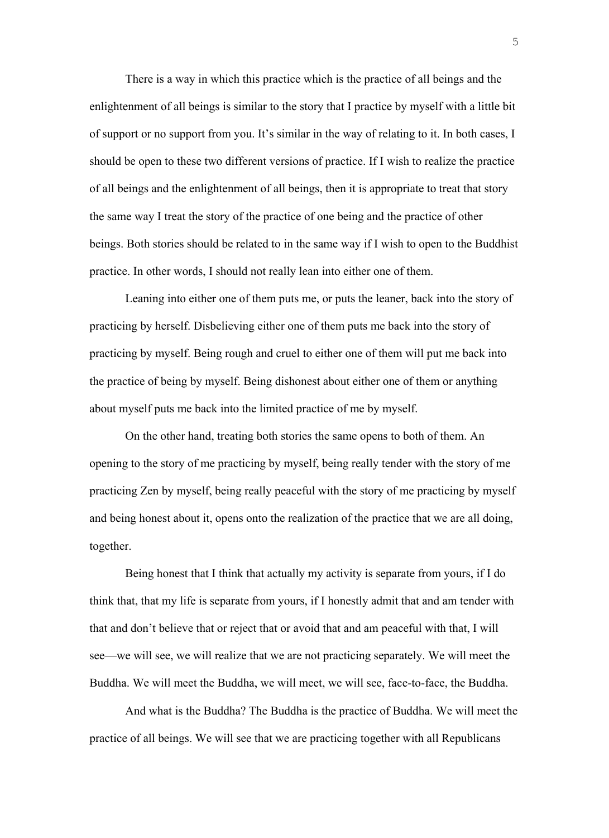There is a way in which this practice which is the practice of all beings and the enlightenment of all beings is similar to the story that I practice by myself with a little bit of support or no support from you. It's similar in the way of relating to it. In both cases, I should be open to these two different versions of practice. If I wish to realize the practice of all beings and the enlightenment of all beings, then it is appropriate to treat that story the same way I treat the story of the practice of one being and the practice of other beings. Both stories should be related to in the same way if I wish to open to the Buddhist practice. In other words, I should not really lean into either one of them.

Leaning into either one of them puts me, or puts the leaner, back into the story of practicing by herself. Disbelieving either one of them puts me back into the story of practicing by myself. Being rough and cruel to either one of them will put me back into the practice of being by myself. Being dishonest about either one of them or anything about myself puts me back into the limited practice of me by myself.

On the other hand, treating both stories the same opens to both of them. An opening to the story of me practicing by myself, being really tender with the story of me practicing Zen by myself, being really peaceful with the story of me practicing by myself and being honest about it, opens onto the realization of the practice that we are all doing, together.

Being honest that I think that actually my activity is separate from yours, if I do think that, that my life is separate from yours, if I honestly admit that and am tender with that and don't believe that or reject that or avoid that and am peaceful with that, I will see—we will see, we will realize that we are not practicing separately. We will meet the Buddha. We will meet the Buddha, we will meet, we will see, face-to-face, the Buddha.

And what is the Buddha? The Buddha is the practice of Buddha. We will meet the practice of all beings. We will see that we are practicing together with all Republicans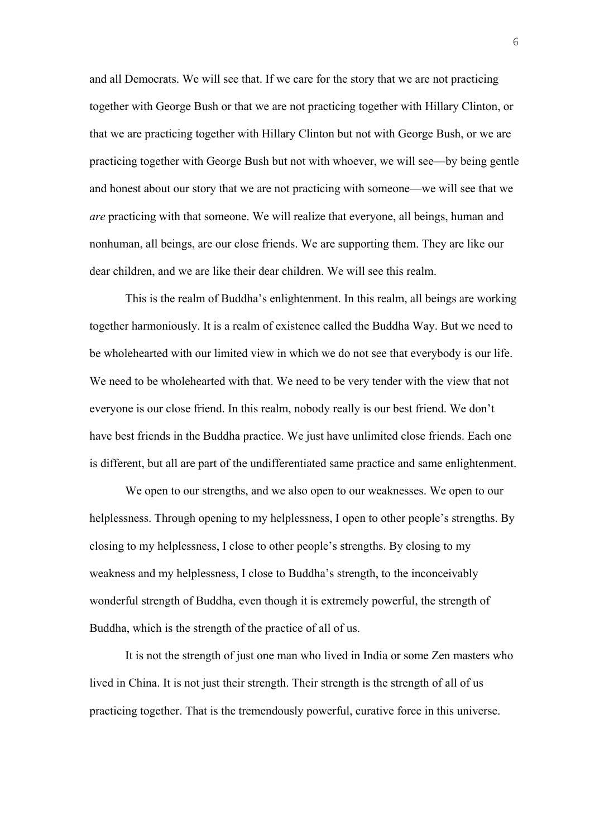and all Democrats. We will see that. If we care for the story that we are not practicing together with George Bush or that we are not practicing together with Hillary Clinton, or that we are practicing together with Hillary Clinton but not with George Bush, or we are practicing together with George Bush but not with whoever, we will see—by being gentle and honest about our story that we are not practicing with someone—we will see that we *are* practicing with that someone. We will realize that everyone, all beings, human and nonhuman, all beings, are our close friends. We are supporting them. They are like our dear children, and we are like their dear children. We will see this realm.

This is the realm of Buddha's enlightenment. In this realm, all beings are working together harmoniously. It is a realm of existence called the Buddha Way. But we need to be wholehearted with our limited view in which we do not see that everybody is our life. We need to be wholehearted with that. We need to be very tender with the view that not everyone is our close friend. In this realm, nobody really is our best friend. We don't have best friends in the Buddha practice. We just have unlimited close friends. Each one is different, but all are part of the undifferentiated same practice and same enlightenment.

We open to our strengths, and we also open to our weaknesses. We open to our helplessness. Through opening to my helplessness, I open to other people's strengths. By closing to my helplessness, I close to other people's strengths. By closing to my weakness and my helplessness, I close to Buddha's strength, to the inconceivably wonderful strength of Buddha, even though it is extremely powerful, the strength of Buddha, which is the strength of the practice of all of us.

It is not the strength of just one man who lived in India or some Zen masters who lived in China. It is not just their strength. Their strength is the strength of all of us practicing together. That is the tremendously powerful, curative force in this universe.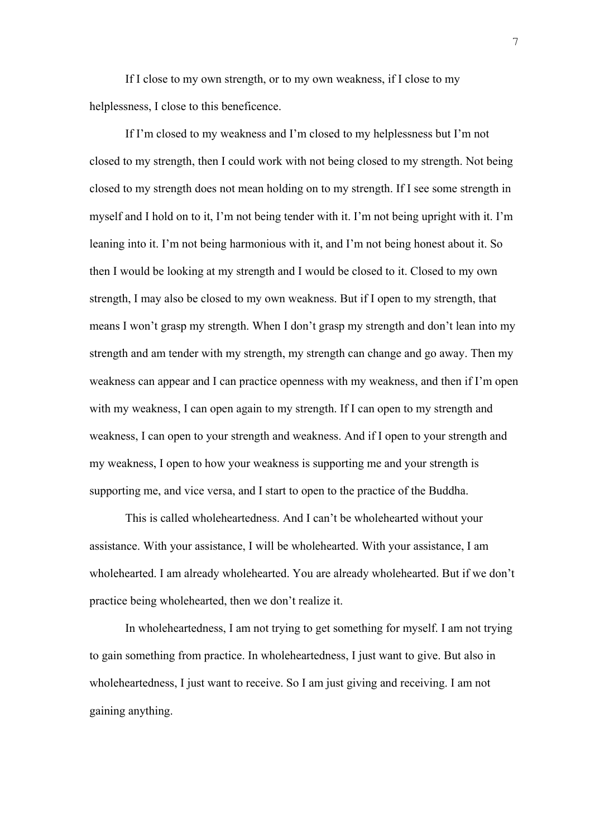If I close to my own strength, or to my own weakness, if I close to my helplessness, I close to this beneficence.

If I'm closed to my weakness and I'm closed to my helplessness but I'm not closed to my strength, then I could work with not being closed to my strength. Not being closed to my strength does not mean holding on to my strength. If I see some strength in myself and I hold on to it, I'm not being tender with it. I'm not being upright with it. I'm leaning into it. I'm not being harmonious with it, and I'm not being honest about it. So then I would be looking at my strength and I would be closed to it. Closed to my own strength, I may also be closed to my own weakness. But if I open to my strength, that means I won't grasp my strength. When I don't grasp my strength and don't lean into my strength and am tender with my strength, my strength can change and go away. Then my weakness can appear and I can practice openness with my weakness, and then if I'm open with my weakness, I can open again to my strength. If I can open to my strength and weakness, I can open to your strength and weakness. And if I open to your strength and my weakness, I open to how your weakness is supporting me and your strength is supporting me, and vice versa, and I start to open to the practice of the Buddha.

This is called wholeheartedness. And I can't be wholehearted without your assistance. With your assistance, I will be wholehearted. With your assistance, I am wholehearted. I am already wholehearted. You are already wholehearted. But if we don't practice being wholehearted, then we don't realize it.

In wholeheartedness, I am not trying to get something for myself. I am not trying to gain something from practice. In wholeheartedness, I just want to give. But also in wholeheartedness, I just want to receive. So I am just giving and receiving. I am not gaining anything.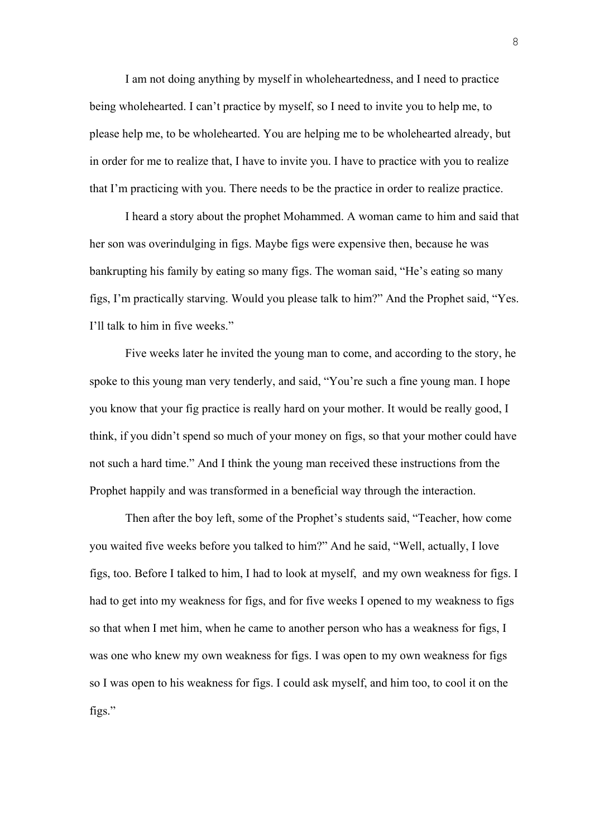I am not doing anything by myself in wholeheartedness, and I need to practice being wholehearted. I can't practice by myself, so I need to invite you to help me, to please help me, to be wholehearted. You are helping me to be wholehearted already, but in order for me to realize that, I have to invite you. I have to practice with you to realize that I'm practicing with you. There needs to be the practice in order to realize practice.

I heard a story about the prophet Mohammed. A woman came to him and said that her son was overindulging in figs. Maybe figs were expensive then, because he was bankrupting his family by eating so many figs. The woman said, "He's eating so many figs, I'm practically starving. Would you please talk to him?" And the Prophet said, "Yes. I'll talk to him in five weeks."

Five weeks later he invited the young man to come, and according to the story, he spoke to this young man very tenderly, and said, "You're such a fine young man. I hope you know that your fig practice is really hard on your mother. It would be really good, I think, if you didn't spend so much of your money on figs, so that your mother could have not such a hard time." And I think the young man received these instructions from the Prophet happily and was transformed in a beneficial way through the interaction.

Then after the boy left, some of the Prophet's students said, "Teacher, how come you waited five weeks before you talked to him?" And he said, "Well, actually, I love figs, too. Before I talked to him, I had to look at myself, and my own weakness for figs. I had to get into my weakness for figs, and for five weeks I opened to my weakness to figs so that when I met him, when he came to another person who has a weakness for figs, I was one who knew my own weakness for figs. I was open to my own weakness for figs so I was open to his weakness for figs. I could ask myself, and him too, to cool it on the figs."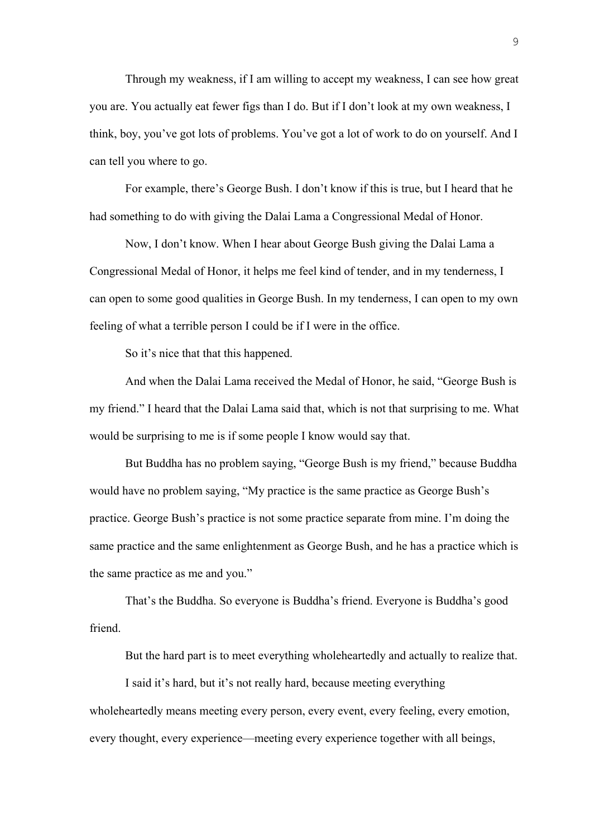Through my weakness, if I am willing to accept my weakness, I can see how great you are. You actually eat fewer figs than I do. But if I don't look at my own weakness, I think, boy, you've got lots of problems. You've got a lot of work to do on yourself. And I can tell you where to go.

For example, there's George Bush. I don't know if this is true, but I heard that he had something to do with giving the Dalai Lama a Congressional Medal of Honor.

Now, I don't know. When I hear about George Bush giving the Dalai Lama a Congressional Medal of Honor, it helps me feel kind of tender, and in my tenderness, I can open to some good qualities in George Bush. In my tenderness, I can open to my own feeling of what a terrible person I could be if I were in the office.

So it's nice that that this happened.

And when the Dalai Lama received the Medal of Honor, he said, "George Bush is my friend." I heard that the Dalai Lama said that, which is not that surprising to me. What would be surprising to me is if some people I know would say that.

But Buddha has no problem saying, "George Bush is my friend," because Buddha would have no problem saying, "My practice is the same practice as George Bush's practice. George Bush's practice is not some practice separate from mine. I'm doing the same practice and the same enlightenment as George Bush, and he has a practice which is the same practice as me and you."

That's the Buddha. So everyone is Buddha's friend. Everyone is Buddha's good friend.

But the hard part is to meet everything wholeheartedly and actually to realize that.

I said it's hard, but it's not really hard, because meeting everything wholeheartedly means meeting every person, every event, every feeling, every emotion, every thought, every experience—meeting every experience together with all beings,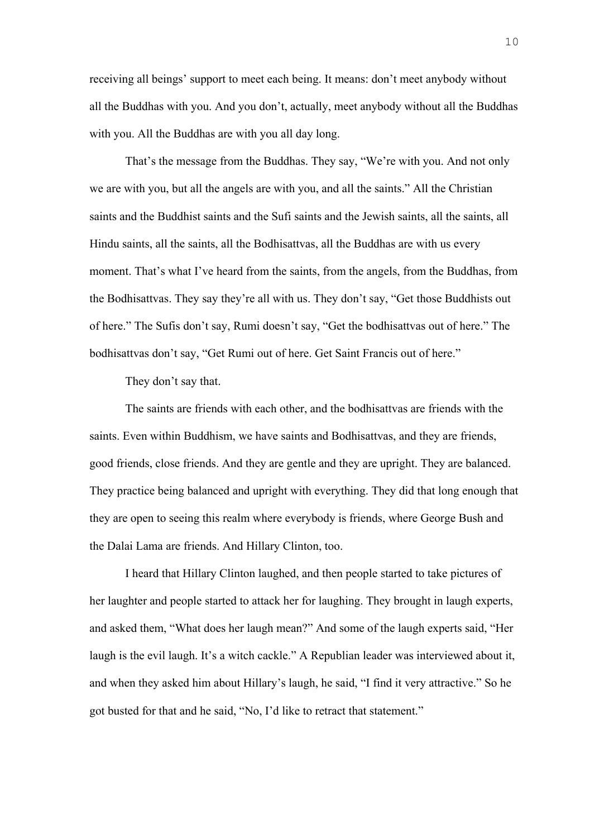receiving all beings' support to meet each being. It means: don't meet anybody without all the Buddhas with you. And you don't, actually, meet anybody without all the Buddhas with you. All the Buddhas are with you all day long.

That's the message from the Buddhas. They say, "We're with you. And not only we are with you, but all the angels are with you, and all the saints." All the Christian saints and the Buddhist saints and the Sufi saints and the Jewish saints, all the saints, all Hindu saints, all the saints, all the Bodhisattvas, all the Buddhas are with us every moment. That's what I've heard from the saints, from the angels, from the Buddhas, from the Bodhisattvas. They say they're all with us. They don't say, "Get those Buddhists out of here." The Sufis don't say, Rumi doesn't say, "Get the bodhisattvas out of here." The bodhisattvas don't say, "Get Rumi out of here. Get Saint Francis out of here."

They don't say that.

The saints are friends with each other, and the bodhisattvas are friends with the saints. Even within Buddhism, we have saints and Bodhisattvas, and they are friends, good friends, close friends. And they are gentle and they are upright. They are balanced. They practice being balanced and upright with everything. They did that long enough that they are open to seeing this realm where everybody is friends, where George Bush and the Dalai Lama are friends. And Hillary Clinton, too.

I heard that Hillary Clinton laughed, and then people started to take pictures of her laughter and people started to attack her for laughing. They brought in laugh experts, and asked them, "What does her laugh mean?" And some of the laugh experts said, "Her laugh is the evil laugh. It's a witch cackle." A Republian leader was interviewed about it, and when they asked him about Hillary's laugh, he said, "I find it very attractive." So he got busted for that and he said, "No, I'd like to retract that statement."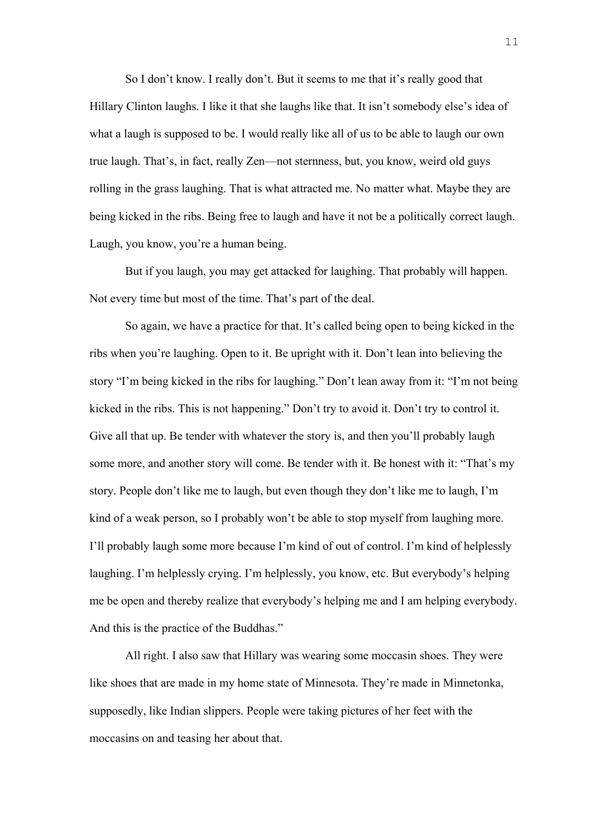So I don't know. I really don't. But it seems to me that it's really good that Hillary Clinton laughs. I like it that she laughs like that. It isn't somebody else's idea of what a laugh is supposed to be. I would really like all of us to be able to laugh our own true laugh. That's, in fact, really Zen—not sternness, but, you know, weird old guys rolling in the grass laughing. That is what attracted me. No matter what. Maybe they are being kicked in the ribs. Being free to laugh and have it not be a politically correct laugh. Laugh, you know, you're a human being.

But if you laugh, you may get attacked for laughing. That probably will happen. Not every time but most of the time. That's part of the deal.

So again, we have a practice for that. It's called being open to being kicked in the ribs when you're laughing. Open to it. Be upright with it. Don't lean into believing the story "I'm being kicked in the ribs for laughing." Don't lean away from it: "I'm not being kicked in the ribs. This is not happening." Don't try to avoid it. Don't try to control it. Give all that up. Be tender with whatever the story is, and then you'll probably laugh some more, and another story will come. Be tender with it. Be honest with it: "That's my story. People don't like me to laugh, but even though they don't like me to laugh, I'm kind of a weak person, so I probably won't be able to stop myself from laughing more. I'll probably laugh some more because I'm kind of out of control. I'm kind of helplessly laughing. I'm helplessly crying. I'm helplessly, you know, etc. But everybody's helping me be open and thereby realize that everybody's helping me and I am helping everybody. And this is the practice of the Buddhas."

All right. I also saw that Hillary was wearing some moccasin shoes. They were like shoes that are made in my home state of Minnesota. They're made in Minnetonka, supposedly, like Indian slippers. People were taking pictures of her feet with the moccasins on and teasing her about that.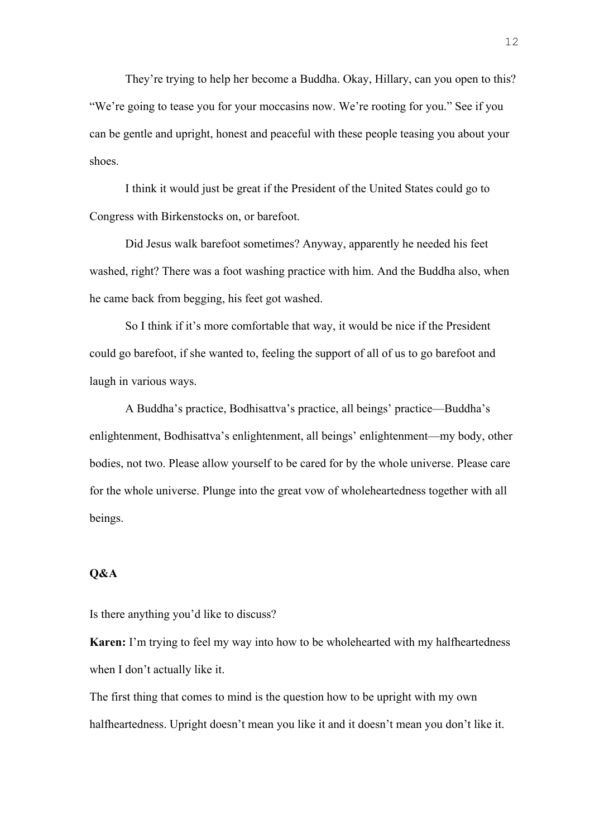They're trying to help her become a Buddha. Okay, Hillary, can you open to this? "We're going to tease you for your moccasins now. We're rooting for you." See if you can be gentle and upright, honest and peaceful with these people teasing you about your shoes.

I think it would just be great if the President of the United States could go to Congress with Birkenstocks on, or barefoot.

Did Jesus walk barefoot sometimes? Anyway, apparently he needed his feet washed, right? There was a foot washing practice with him. And the Buddha also, when he came back from begging, his feet got washed.

So I think if it's more comfortable that way, it would be nice if the President could go barefoot, if she wanted to, feeling the support of all of us to go barefoot and laugh in various ways.

A Buddha's practice, Bodhisattva's practice, all beings' practice—Buddha's enlightenment, Bodhisattva's enlightenment, all beings' enlightenment—my body, other bodies, not two. Please allow yourself to be cared for by the whole universe. Please care for the whole universe. Plunge into the great vow of wholeheartedness together with all beings.

## **Q&A**

Is there anything you'd like to discuss?

**Karen:** I'm trying to feel my way into how to be wholehearted with my halfheartedness when I don't actually like it.

The first thing that comes to mind is the question how to be upright with my own halfheartedness. Upright doesn't mean you like it and it doesn't mean you don't like it.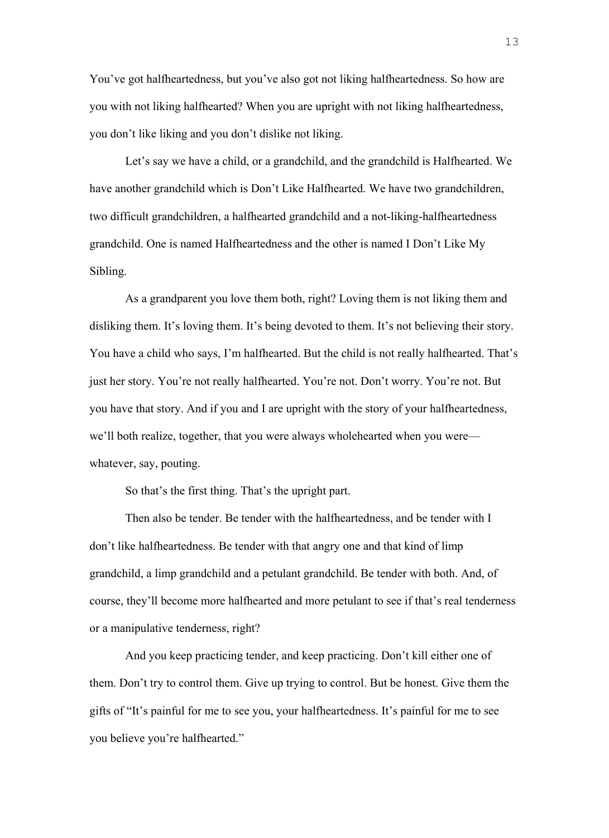You've got halfheartedness, but you've also got not liking halfheartedness. So how are you with not liking halfhearted? When you are upright with not liking halfheartedness, you don't like liking and you don't dislike not liking.

Let's say we have a child, or a grandchild, and the grandchild is Halfhearted. We have another grandchild which is Don't Like Halfhearted. We have two grandchildren, two difficult grandchildren, a halfhearted grandchild and a not-liking-halfheartedness grandchild. One is named Halfheartedness and the other is named I Don't Like My Sibling.

As a grandparent you love them both, right? Loving them is not liking them and disliking them. It's loving them. It's being devoted to them. It's not believing their story. You have a child who says, I'm halfhearted. But the child is not really halfhearted. That's just her story. You're not really halfhearted. You're not. Don't worry. You're not. But you have that story. And if you and I are upright with the story of your halfheartedness, we'll both realize, together, that you were always wholehearted when you were whatever, say, pouting.

So that's the first thing. That's the upright part.

Then also be tender. Be tender with the halfheartedness, and be tender with I don't like halfheartedness. Be tender with that angry one and that kind of limp grandchild, a limp grandchild and a petulant grandchild. Be tender with both. And, of course, they'll become more halfhearted and more petulant to see if that's real tenderness or a manipulative tenderness, right?

And you keep practicing tender, and keep practicing. Don't kill either one of them. Don't try to control them. Give up trying to control. But be honest. Give them the gifts of "It's painful for me to see you, your halfheartedness. It's painful for me to see you believe you're halfhearted."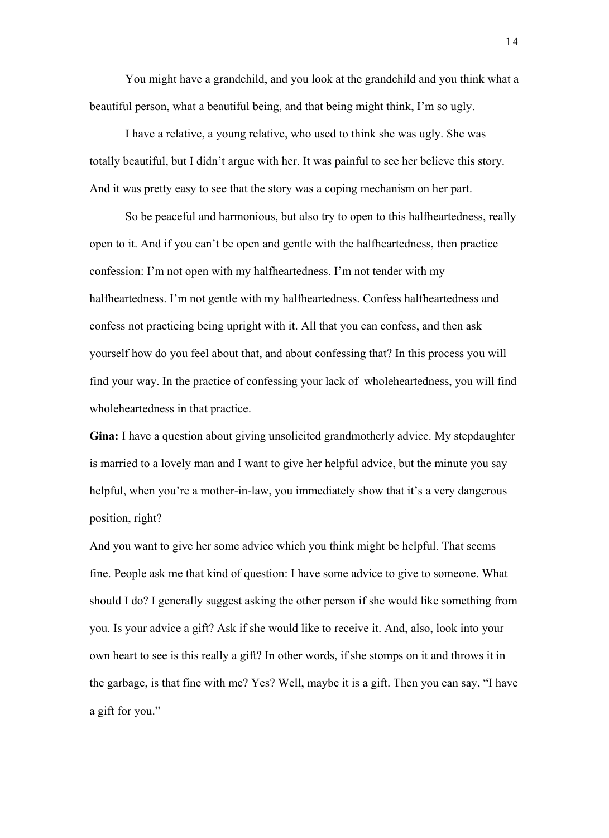You might have a grandchild, and you look at the grandchild and you think what a beautiful person, what a beautiful being, and that being might think, I'm so ugly.

I have a relative, a young relative, who used to think she was ugly. She was totally beautiful, but I didn't argue with her. It was painful to see her believe this story. And it was pretty easy to see that the story was a coping mechanism on her part.

So be peaceful and harmonious, but also try to open to this halfheartedness, really open to it. And if you can't be open and gentle with the halfheartedness, then practice confession: I'm not open with my halfheartedness. I'm not tender with my halfheartedness. I'm not gentle with my halfheartedness. Confess halfheartedness and confess not practicing being upright with it. All that you can confess, and then ask yourself how do you feel about that, and about confessing that? In this process you will find your way. In the practice of confessing your lack of wholeheartedness, you will find wholeheartedness in that practice.

**Gina:** I have a question about giving unsolicited grandmotherly advice. My stepdaughter is married to a lovely man and I want to give her helpful advice, but the minute you say helpful, when you're a mother-in-law, you immediately show that it's a very dangerous position, right?

And you want to give her some advice which you think might be helpful. That seems fine. People ask me that kind of question: I have some advice to give to someone. What should I do? I generally suggest asking the other person if she would like something from you. Is your advice a gift? Ask if she would like to receive it. And, also, look into your own heart to see is this really a gift? In other words, if she stomps on it and throws it in the garbage, is that fine with me? Yes? Well, maybe it is a gift. Then you can say, "I have a gift for you."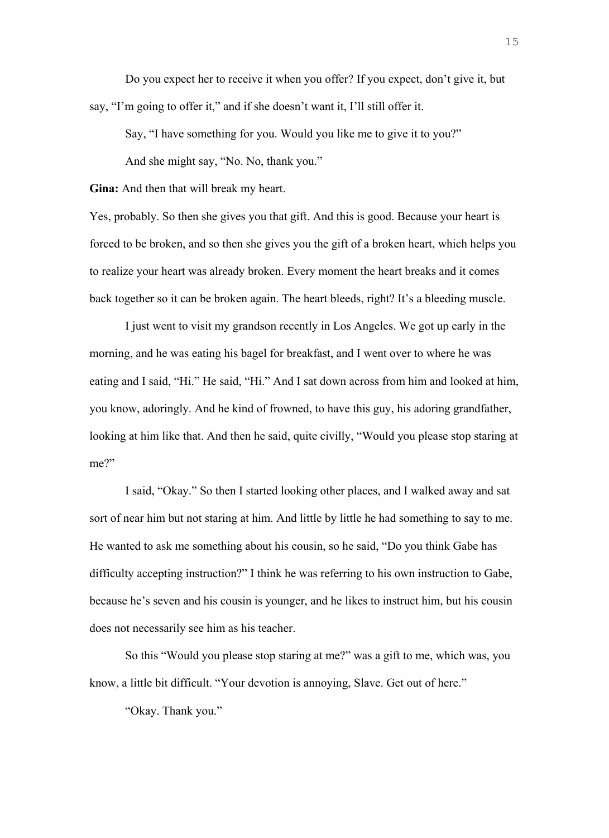Do you expect her to receive it when you offer? If you expect, don't give it, but say, "I'm going to offer it," and if she doesn't want it, I'll still offer it.

Say, "I have something for you. Would you like me to give it to you?" And she might say, "No. No, thank you."

**Gina:** And then that will break my heart.

Yes, probably. So then she gives you that gift. And this is good. Because your heart is forced to be broken, and so then she gives you the gift of a broken heart, which helps you to realize your heart was already broken. Every moment the heart breaks and it comes back together so it can be broken again. The heart bleeds, right? It's a bleeding muscle.

I just went to visit my grandson recently in Los Angeles. We got up early in the morning, and he was eating his bagel for breakfast, and I went over to where he was eating and I said, "Hi." He said, "Hi." And I sat down across from him and looked at him, you know, adoringly. And he kind of frowned, to have this guy, his adoring grandfather, looking at him like that. And then he said, quite civilly, "Would you please stop staring at me?"

I said, "Okay." So then I started looking other places, and I walked away and sat sort of near him but not staring at him. And little by little he had something to say to me. He wanted to ask me something about his cousin, so he said, "Do you think Gabe has difficulty accepting instruction?" I think he was referring to his own instruction to Gabe, because he's seven and his cousin is younger, and he likes to instruct him, but his cousin does not necessarily see him as his teacher.

So this "Would you please stop staring at me?" was a gift to me, which was, you know, a little bit difficult. "Your devotion is annoying, Slave. Get out of here."

"Okay. Thank you."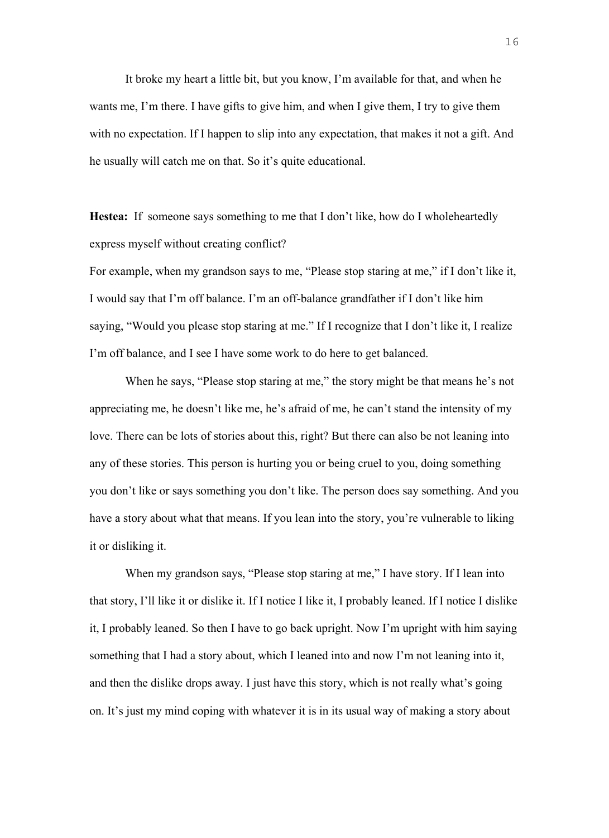It broke my heart a little bit, but you know, I'm available for that, and when he wants me, I'm there. I have gifts to give him, and when I give them, I try to give them with no expectation. If I happen to slip into any expectation, that makes it not a gift. And he usually will catch me on that. So it's quite educational.

**Hestea:** If someone says something to me that I don't like, how do I wholeheartedly express myself without creating conflict?

For example, when my grandson says to me, "Please stop staring at me," if I don't like it, I would say that I'm off balance. I'm an off-balance grandfather if I don't like him saying, "Would you please stop staring at me." If I recognize that I don't like it, I realize I'm off balance, and I see I have some work to do here to get balanced.

When he says, "Please stop staring at me," the story might be that means he's not appreciating me, he doesn't like me, he's afraid of me, he can't stand the intensity of my love. There can be lots of stories about this, right? But there can also be not leaning into any of these stories. This person is hurting you or being cruel to you, doing something you don't like or says something you don't like. The person does say something. And you have a story about what that means. If you lean into the story, you're vulnerable to liking it or disliking it.

When my grandson says, "Please stop staring at me," I have story. If I lean into that story, I'll like it or dislike it. If I notice I like it, I probably leaned. If I notice I dislike it, I probably leaned. So then I have to go back upright. Now I'm upright with him saying something that I had a story about, which I leaned into and now I'm not leaning into it, and then the dislike drops away. I just have this story, which is not really what's going on. It's just my mind coping with whatever it is in its usual way of making a story about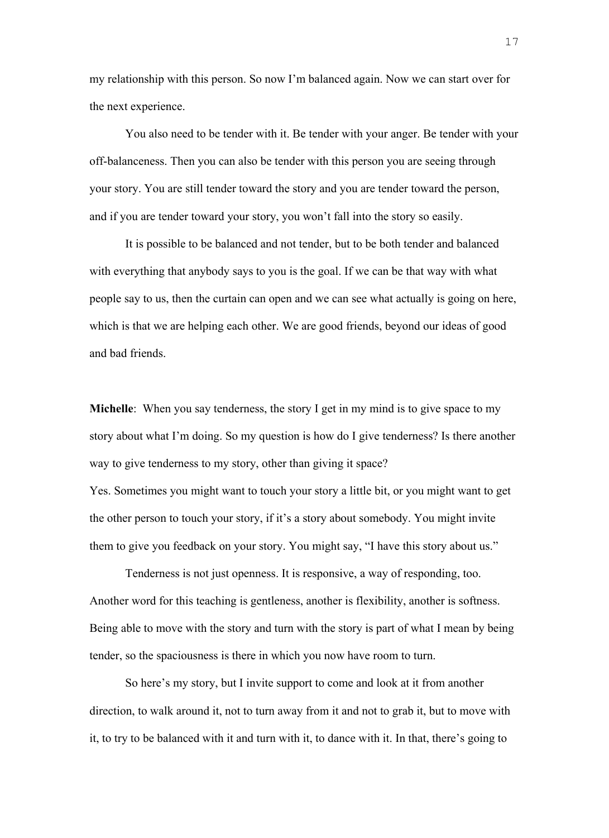my relationship with this person. So now I'm balanced again. Now we can start over for the next experience.

You also need to be tender with it. Be tender with your anger. Be tender with your off-balanceness. Then you can also be tender with this person you are seeing through your story. You are still tender toward the story and you are tender toward the person, and if you are tender toward your story, you won't fall into the story so easily.

It is possible to be balanced and not tender, but to be both tender and balanced with everything that anybody says to you is the goal. If we can be that way with what people say to us, then the curtain can open and we can see what actually is going on here, which is that we are helping each other. We are good friends, beyond our ideas of good and bad friends.

**Michelle**: When you say tenderness, the story I get in my mind is to give space to my story about what I'm doing. So my question is how do I give tenderness? Is there another way to give tenderness to my story, other than giving it space?

Yes. Sometimes you might want to touch your story a little bit, or you might want to get the other person to touch your story, if it's a story about somebody. You might invite them to give you feedback on your story. You might say, "I have this story about us."

Tenderness is not just openness. It is responsive, a way of responding, too. Another word for this teaching is gentleness, another is flexibility, another is softness. Being able to move with the story and turn with the story is part of what I mean by being tender, so the spaciousness is there in which you now have room to turn.

So here's my story, but I invite support to come and look at it from another direction, to walk around it, not to turn away from it and not to grab it, but to move with it, to try to be balanced with it and turn with it, to dance with it. In that, there's going to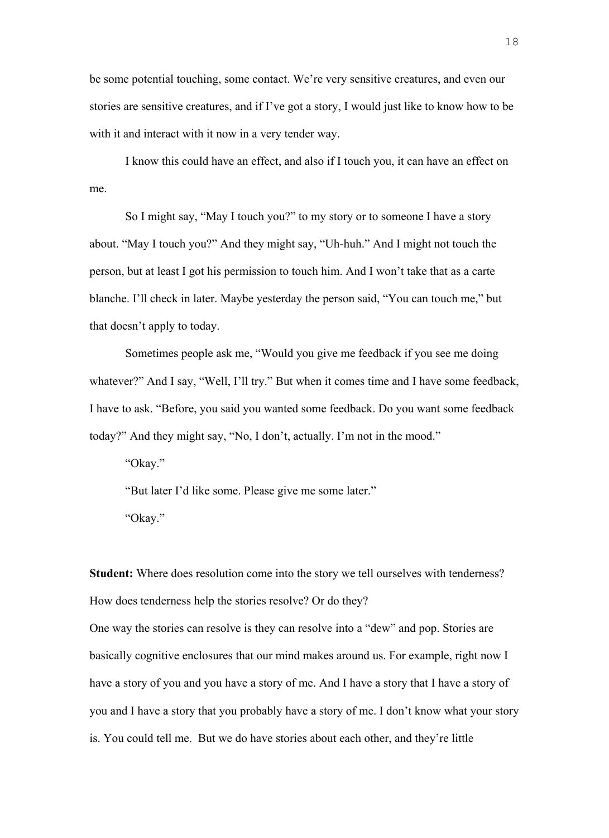be some potential touching, some contact. We're very sensitive creatures, and even our stories are sensitive creatures, and if I've got a story, I would just like to know how to be with it and interact with it now in a very tender way.

I know this could have an effect, and also if I touch you, it can have an effect on me.

So I might say, "May I touch you?" to my story or to someone I have a story about. "May I touch you?" And they might say, "Uh-huh." And I might not touch the person, but at least I got his permission to touch him. And I won't take that as a carte blanche. I'll check in later. Maybe yesterday the person said, "You can touch me," but that doesn't apply to today.

Sometimes people ask me, "Would you give me feedback if you see me doing whatever?" And I say, "Well, I'll try." But when it comes time and I have some feedback, I have to ask. "Before, you said you wanted some feedback. Do you want some feedback today?" And they might say, "No, I don't, actually. I'm not in the mood."

"Okay."

"But later I'd like some. Please give me some later." "Okay."

**Student:** Where does resolution come into the story we tell ourselves with tenderness? How does tenderness help the stories resolve? Or do they?

One way the stories can resolve is they can resolve into a "dew" and pop. Stories are basically cognitive enclosures that our mind makes around us. For example, right now I have a story of you and you have a story of me. And I have a story that I have a story of you and I have a story that you probably have a story of me. I don't know what your story is. You could tell me. But we do have stories about each other, and they're little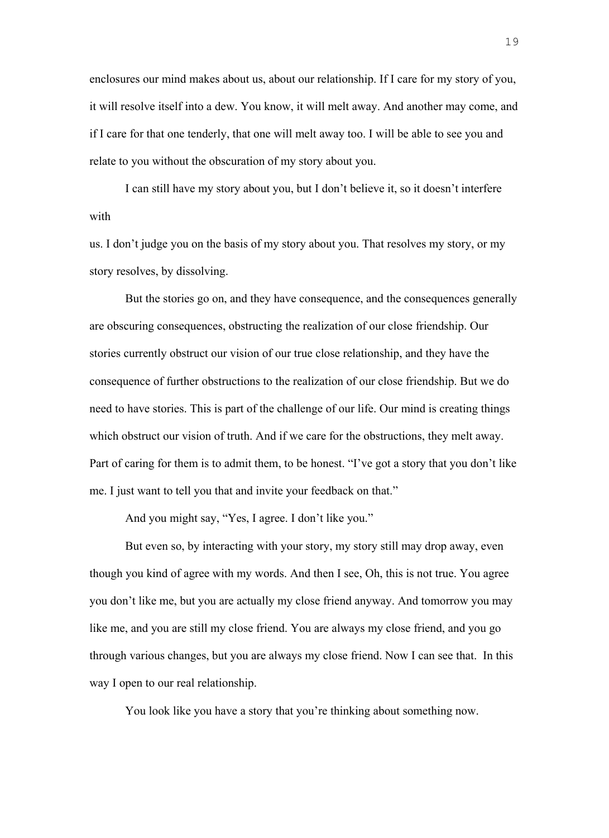enclosures our mind makes about us, about our relationship. If I care for my story of you, it will resolve itself into a dew. You know, it will melt away. And another may come, and if I care for that one tenderly, that one will melt away too. I will be able to see you and relate to you without the obscuration of my story about you.

I can still have my story about you, but I don't believe it, so it doesn't interfere with

us. I don't judge you on the basis of my story about you. That resolves my story, or my story resolves, by dissolving.

But the stories go on, and they have consequence, and the consequences generally are obscuring consequences, obstructing the realization of our close friendship. Our stories currently obstruct our vision of our true close relationship, and they have the consequence of further obstructions to the realization of our close friendship. But we do need to have stories. This is part of the challenge of our life. Our mind is creating things which obstruct our vision of truth. And if we care for the obstructions, they melt away. Part of caring for them is to admit them, to be honest. "I've got a story that you don't like me. I just want to tell you that and invite your feedback on that."

And you might say, "Yes, I agree. I don't like you."

But even so, by interacting with your story, my story still may drop away, even though you kind of agree with my words. And then I see, Oh, this is not true. You agree you don't like me, but you are actually my close friend anyway. And tomorrow you may like me, and you are still my close friend. You are always my close friend, and you go through various changes, but you are always my close friend. Now I can see that. In this way I open to our real relationship.

You look like you have a story that you're thinking about something now.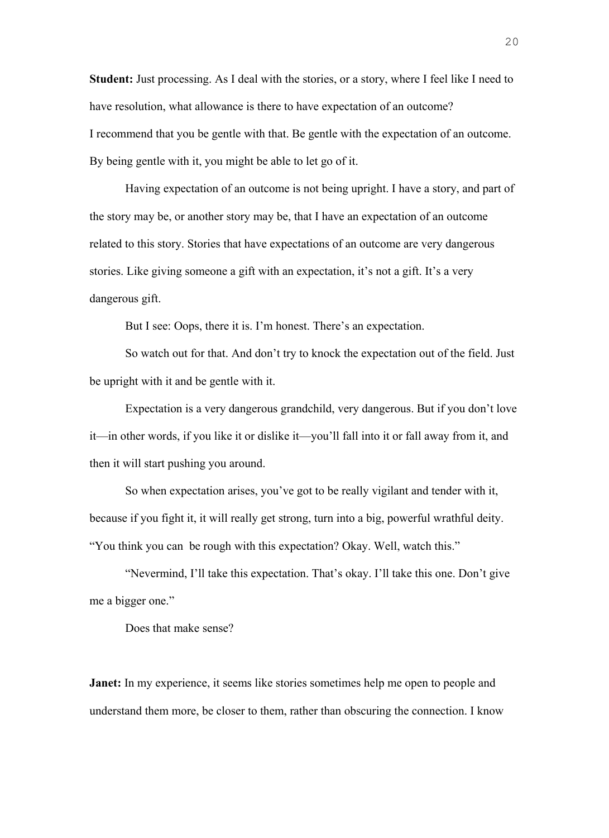**Student:** Just processing. As I deal with the stories, or a story, where I feel like I need to have resolution, what allowance is there to have expectation of an outcome? I recommend that you be gentle with that. Be gentle with the expectation of an outcome. By being gentle with it, you might be able to let go of it.

Having expectation of an outcome is not being upright. I have a story, and part of the story may be, or another story may be, that I have an expectation of an outcome related to this story. Stories that have expectations of an outcome are very dangerous stories. Like giving someone a gift with an expectation, it's not a gift. It's a very dangerous gift.

But I see: Oops, there it is. I'm honest. There's an expectation.

So watch out for that. And don't try to knock the expectation out of the field. Just be upright with it and be gentle with it.

Expectation is a very dangerous grandchild, very dangerous. But if you don't love it—in other words, if you like it or dislike it—you'll fall into it or fall away from it, and then it will start pushing you around.

So when expectation arises, you've got to be really vigilant and tender with it, because if you fight it, it will really get strong, turn into a big, powerful wrathful deity. "You think you can be rough with this expectation? Okay. Well, watch this."

"Nevermind, I'll take this expectation. That's okay. I'll take this one. Don't give me a bigger one."

Does that make sense?

**Janet:** In my experience, it seems like stories sometimes help me open to people and understand them more, be closer to them, rather than obscuring the connection. I know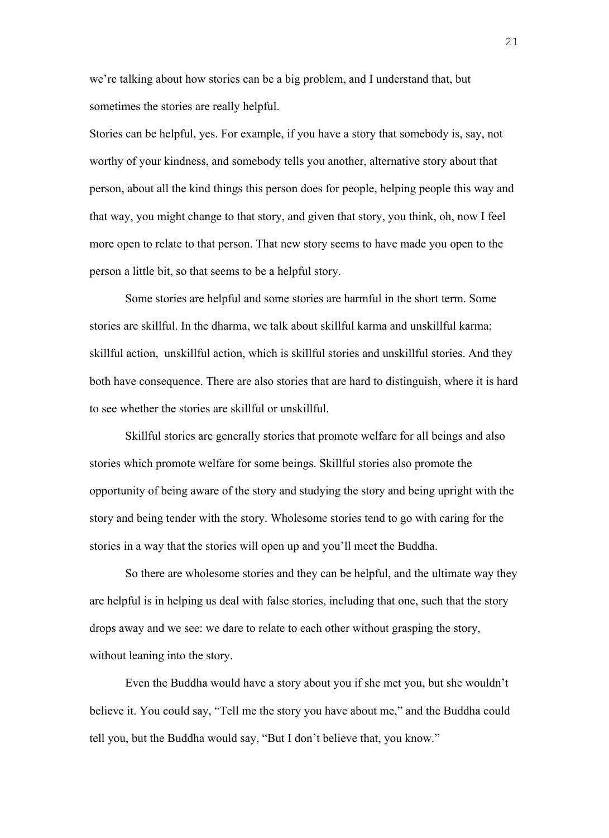we're talking about how stories can be a big problem, and I understand that, but sometimes the stories are really helpful.

Stories can be helpful, yes. For example, if you have a story that somebody is, say, not worthy of your kindness, and somebody tells you another, alternative story about that person, about all the kind things this person does for people, helping people this way and that way, you might change to that story, and given that story, you think, oh, now I feel more open to relate to that person. That new story seems to have made you open to the person a little bit, so that seems to be a helpful story.

Some stories are helpful and some stories are harmful in the short term. Some stories are skillful. In the dharma, we talk about skillful karma and unskillful karma; skillful action, unskillful action, which is skillful stories and unskillful stories. And they both have consequence. There are also stories that are hard to distinguish, where it is hard to see whether the stories are skillful or unskillful.

Skillful stories are generally stories that promote welfare for all beings and also stories which promote welfare for some beings. Skillful stories also promote the opportunity of being aware of the story and studying the story and being upright with the story and being tender with the story. Wholesome stories tend to go with caring for the stories in a way that the stories will open up and you'll meet the Buddha.

So there are wholesome stories and they can be helpful, and the ultimate way they are helpful is in helping us deal with false stories, including that one, such that the story drops away and we see: we dare to relate to each other without grasping the story, without leaning into the story.

Even the Buddha would have a story about you if she met you, but she wouldn't believe it. You could say, "Tell me the story you have about me," and the Buddha could tell you, but the Buddha would say, "But I don't believe that, you know."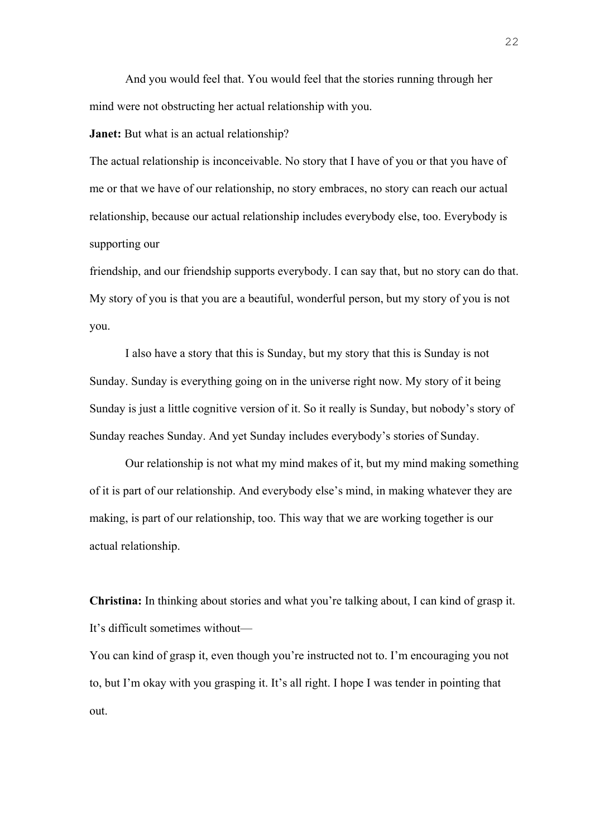And you would feel that. You would feel that the stories running through her mind were not obstructing her actual relationship with you.

**Janet:** But what is an actual relationship?

The actual relationship is inconceivable. No story that I have of you or that you have of me or that we have of our relationship, no story embraces, no story can reach our actual relationship, because our actual relationship includes everybody else, too. Everybody is supporting our

friendship, and our friendship supports everybody. I can say that, but no story can do that. My story of you is that you are a beautiful, wonderful person, but my story of you is not you.

I also have a story that this is Sunday, but my story that this is Sunday is not Sunday. Sunday is everything going on in the universe right now. My story of it being Sunday is just a little cognitive version of it. So it really is Sunday, but nobody's story of Sunday reaches Sunday. And yet Sunday includes everybody's stories of Sunday.

Our relationship is not what my mind makes of it, but my mind making something of it is part of our relationship. And everybody else's mind, in making whatever they are making, is part of our relationship, too. This way that we are working together is our actual relationship.

**Christina:** In thinking about stories and what you're talking about, I can kind of grasp it. It's difficult sometimes without—

You can kind of grasp it, even though you're instructed not to. I'm encouraging you not to, but I'm okay with you grasping it. It's all right. I hope I was tender in pointing that out.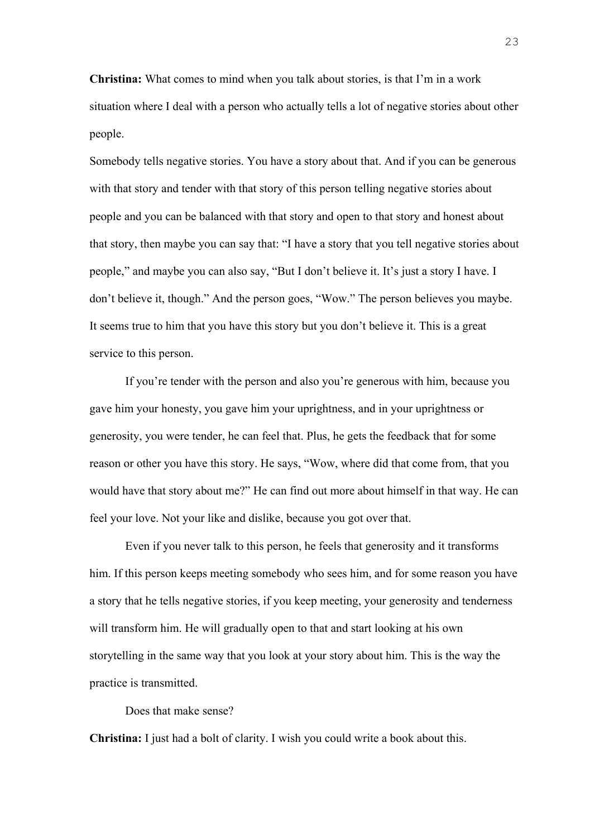**Christina:** What comes to mind when you talk about stories, is that I'm in a work situation where I deal with a person who actually tells a lot of negative stories about other people.

Somebody tells negative stories. You have a story about that. And if you can be generous with that story and tender with that story of this person telling negative stories about people and you can be balanced with that story and open to that story and honest about that story, then maybe you can say that: "I have a story that you tell negative stories about people," and maybe you can also say, "But I don't believe it. It's just a story I have. I don't believe it, though." And the person goes, "Wow." The person believes you maybe. It seems true to him that you have this story but you don't believe it. This is a great service to this person.

If you're tender with the person and also you're generous with him, because you gave him your honesty, you gave him your uprightness, and in your uprightness or generosity, you were tender, he can feel that. Plus, he gets the feedback that for some reason or other you have this story. He says, "Wow, where did that come from, that you would have that story about me?" He can find out more about himself in that way. He can feel your love. Not your like and dislike, because you got over that.

Even if you never talk to this person, he feels that generosity and it transforms him. If this person keeps meeting somebody who sees him, and for some reason you have a story that he tells negative stories, if you keep meeting, your generosity and tenderness will transform him. He will gradually open to that and start looking at his own storytelling in the same way that you look at your story about him. This is the way the practice is transmitted.

Does that make sense?

**Christina:** I just had a bolt of clarity. I wish you could write a book about this.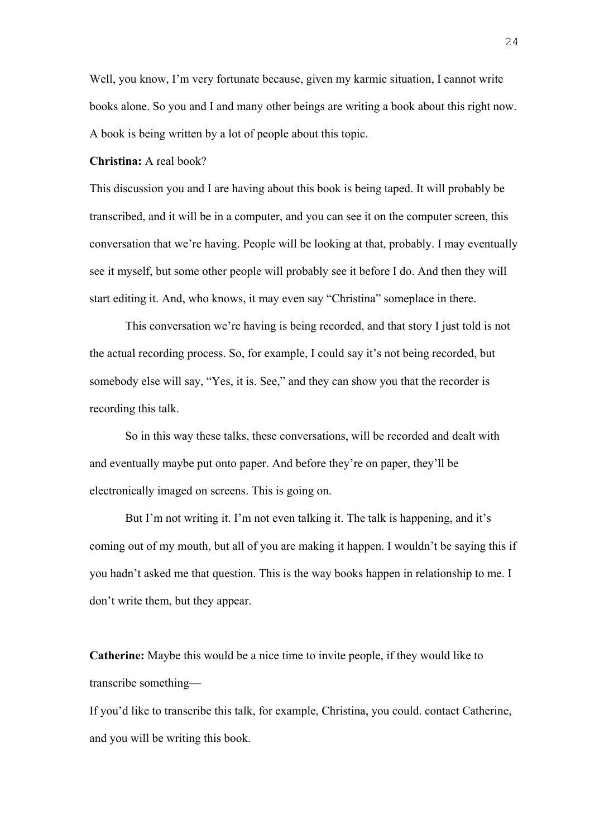Well, you know, I'm very fortunate because, given my karmic situation, I cannot write books alone. So you and I and many other beings are writing a book about this right now. A book is being written by a lot of people about this topic.

## **Christina:** A real book?

This discussion you and I are having about this book is being taped. It will probably be transcribed, and it will be in a computer, and you can see it on the computer screen, this conversation that we're having. People will be looking at that, probably. I may eventually see it myself, but some other people will probably see it before I do. And then they will start editing it. And, who knows, it may even say "Christina" someplace in there.

This conversation we're having is being recorded, and that story I just told is not the actual recording process. So, for example, I could say it's not being recorded, but somebody else will say, "Yes, it is. See," and they can show you that the recorder is recording this talk.

So in this way these talks, these conversations, will be recorded and dealt with and eventually maybe put onto paper. And before they're on paper, they'll be electronically imaged on screens. This is going on.

But I'm not writing it. I'm not even talking it. The talk is happening, and it's coming out of my mouth, but all of you are making it happen. I wouldn't be saying this if you hadn't asked me that question. This is the way books happen in relationship to me. I don't write them, but they appear.

**Catherine:** Maybe this would be a nice time to invite people, if they would like to transcribe something—

If you'd like to transcribe this talk, for example, Christina, you could. contact Catherine, and you will be writing this book.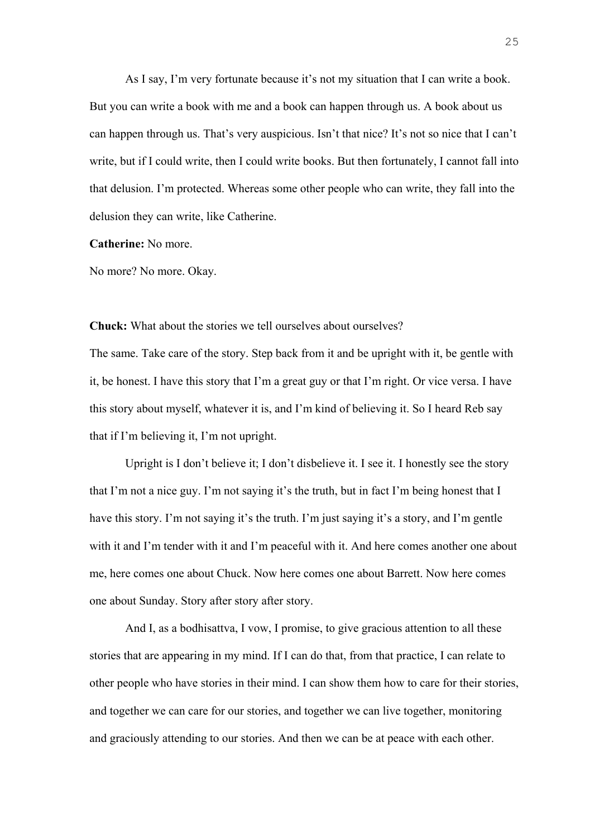As I say, I'm very fortunate because it's not my situation that I can write a book. But you can write a book with me and a book can happen through us. A book about us can happen through us. That's very auspicious. Isn't that nice? It's not so nice that I can't write, but if I could write, then I could write books. But then fortunately, I cannot fall into that delusion. I'm protected. Whereas some other people who can write, they fall into the delusion they can write, like Catherine.

**Catherine:** No more.

No more? No more. Okay.

**Chuck:** What about the stories we tell ourselves about ourselves?

The same. Take care of the story. Step back from it and be upright with it, be gentle with it, be honest. I have this story that I'm a great guy or that I'm right. Or vice versa. I have this story about myself, whatever it is, and I'm kind of believing it. So I heard Reb say that if I'm believing it, I'm not upright.

Upright is I don't believe it; I don't disbelieve it. I see it. I honestly see the story that I'm not a nice guy. I'm not saying it's the truth, but in fact I'm being honest that I have this story. I'm not saying it's the truth. I'm just saying it's a story, and I'm gentle with it and I'm tender with it and I'm peaceful with it. And here comes another one about me, here comes one about Chuck. Now here comes one about Barrett. Now here comes one about Sunday. Story after story after story.

And I, as a bodhisattva, I vow, I promise, to give gracious attention to all these stories that are appearing in my mind. If I can do that, from that practice, I can relate to other people who have stories in their mind. I can show them how to care for their stories, and together we can care for our stories, and together we can live together, monitoring and graciously attending to our stories. And then we can be at peace with each other.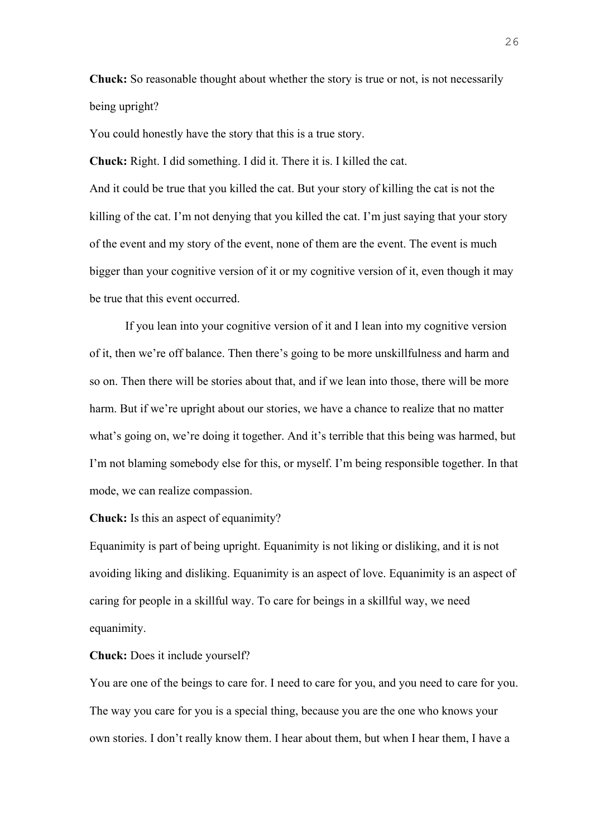**Chuck:** So reasonable thought about whether the story is true or not, is not necessarily being upright?

You could honestly have the story that this is a true story.

**Chuck:** Right. I did something. I did it. There it is. I killed the cat.

And it could be true that you killed the cat. But your story of killing the cat is not the killing of the cat. I'm not denying that you killed the cat. I'm just saying that your story of the event and my story of the event, none of them are the event. The event is much bigger than your cognitive version of it or my cognitive version of it, even though it may be true that this event occurred.

If you lean into your cognitive version of it and I lean into my cognitive version of it, then we're off balance. Then there's going to be more unskillfulness and harm and so on. Then there will be stories about that, and if we lean into those, there will be more harm. But if we're upright about our stories, we have a chance to realize that no matter what's going on, we're doing it together. And it's terrible that this being was harmed, but I'm not blaming somebody else for this, or myself. I'm being responsible together. In that mode, we can realize compassion.

## **Chuck:** Is this an aspect of equanimity?

Equanimity is part of being upright. Equanimity is not liking or disliking, and it is not avoiding liking and disliking. Equanimity is an aspect of love. Equanimity is an aspect of caring for people in a skillful way. To care for beings in a skillful way, we need equanimity.

## **Chuck:** Does it include yourself?

You are one of the beings to care for. I need to care for you, and you need to care for you. The way you care for you is a special thing, because you are the one who knows your own stories. I don't really know them. I hear about them, but when I hear them, I have a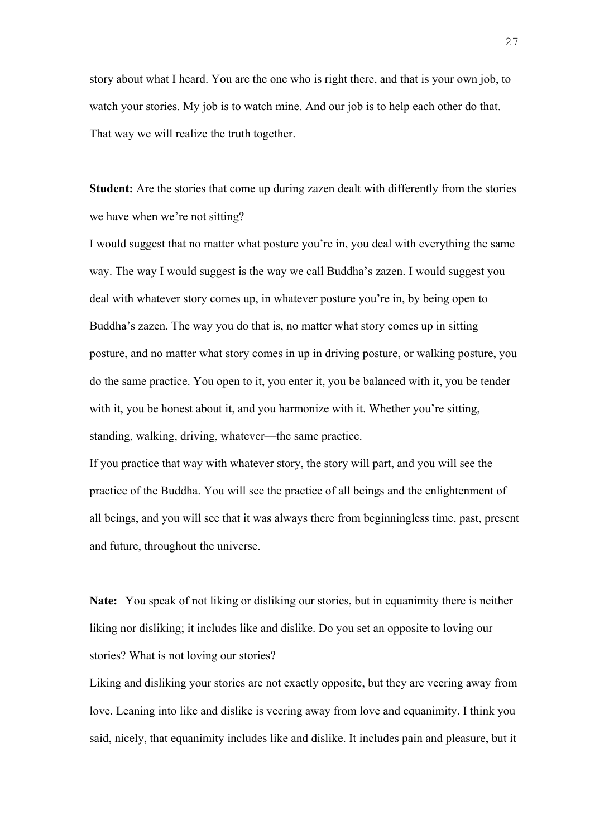story about what I heard. You are the one who is right there, and that is your own job, to watch your stories. My job is to watch mine. And our job is to help each other do that. That way we will realize the truth together.

**Student:** Are the stories that come up during zazen dealt with differently from the stories we have when we're not sitting?

I would suggest that no matter what posture you're in, you deal with everything the same way. The way I would suggest is the way we call Buddha's zazen. I would suggest you deal with whatever story comes up, in whatever posture you're in, by being open to Buddha's zazen. The way you do that is, no matter what story comes up in sitting posture, and no matter what story comes in up in driving posture, or walking posture, you do the same practice. You open to it, you enter it, you be balanced with it, you be tender with it, you be honest about it, and you harmonize with it. Whether you're sitting, standing, walking, driving, whatever—the same practice.

If you practice that way with whatever story, the story will part, and you will see the practice of the Buddha. You will see the practice of all beings and the enlightenment of all beings, and you will see that it was always there from beginningless time, past, present and future, throughout the universe.

**Nate:** You speak of not liking or disliking our stories, but in equanimity there is neither liking nor disliking; it includes like and dislike. Do you set an opposite to loving our stories? What is not loving our stories?

Liking and disliking your stories are not exactly opposite, but they are veering away from love. Leaning into like and dislike is veering away from love and equanimity. I think you said, nicely, that equanimity includes like and dislike. It includes pain and pleasure, but it